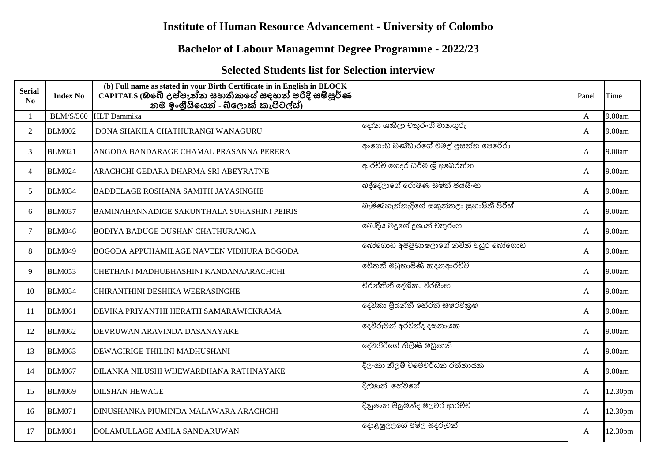## **Institute of Human Resource Advancement - University of Colombo**

## **Bachelor of Labour Managemnt Degree Programme - 2022/23**

## **Selected Students list for Selection interview**

| <b>Serial</b><br>No | <b>Index No</b>  | (b) Full name as stated in your Birth Certificate in in English in BLOCK<br>CAPITALS (ඔබේ උප්පැන්න සහතිකයේ සදහන් පරිදි සම්පූර්ණ<br>නම ඉංගුීසියෙන් - බ්ලොක් කැපිටල්ස්) |                                          | Panel | Time    |
|---------------------|------------------|-----------------------------------------------------------------------------------------------------------------------------------------------------------------------|------------------------------------------|-------|---------|
|                     | <b>BLM/S/560</b> | <b>HLT</b> Dammika                                                                                                                                                    |                                          | A     | 9.00am  |
| $\overline{2}$      | <b>BLM002</b>    | DONA SHAKILA CHATHURANGI WANAGURU                                                                                                                                     | දෝන ශකිලා චතුරංගි වානගුරු                | A     | 9.00am  |
| 3                   | <b>BLM021</b>    | ANGODA BANDARAGE CHAMAL PRASANNA PERERA                                                                                                                               | අංගොඩ බණ්ඩාරගේ චමල් පුසන්න පෙරේරා        | A     | 9.00am  |
| $\overline{4}$      | <b>BLM024</b>    | ARACHCHI GEDARA DHARMA SRI ABEYRATNE                                                                                                                                  | ආරච්චි ගෙදර ධර්ම ශූි අබෙරත්න             | A     | 9.00am  |
| 5                   | <b>BLM034</b>    | <b>BADDELAGE ROSHANA SAMITH JAYASINGHE</b>                                                                                                                            | බද්දේලාගේ රෝෂණ සමිත් ජයසිංහ              | A     | 9.00am  |
| 6                   | <b>BLM037</b>    | BAMINAHANNADIGE SAKUNTHALA SUHASHINI PEIRIS                                                                                                                           | බැමිණහැන්නැදිගේ සකුන්තලා සුහාෂිනී පීරිස් | A     | 9.00am  |
| $\tau$              | <b>BLM046</b>    | <b>BODIYA BADUGE DUSHAN CHATHURANGA</b>                                                                                                                               | බෝදිය බදුගේ දුශාන් චතුරංග                | A     | 9.00am  |
| 8                   | <b>BLM049</b>    | <b>BOGODA APPUHAMILAGE NAVEEN VIDHURA BOGODA</b>                                                                                                                      | බෝගොඩ අප්පුහාමිලාගේ නවීන් විධුර බෝගොඩ    | A     | 9.00am  |
| 9                   | <b>BLM053</b>    | CHETHANI MADHUBHASHINI KANDANAARACHCHI                                                                                                                                | චේතනී මධුභාෂිණි කදනආරච්චි                | A     | 9.00am  |
| 10                  | <b>BLM054</b>    | CHIRANTHINI DESHIKA WEERASINGHE                                                                                                                                       | චිරන්තිනී දේශිකා වීරසිංහ                 | A     | 9.00am  |
| 11                  | <b>BLM061</b>    | DEVIKA PRIYANTHI HERATH SAMARAWICKRAMA                                                                                                                                | දේවිකා පියන්ති හේරත් සමරවිකුම            | A     | 9.00am  |
| 12                  | <b>BLM062</b>    | DEVRUWAN ARAVINDA DASANAYAKE                                                                                                                                          | දෙව්රුවන් අරවින්ද දසනායක                 | A     | 9.00am  |
| 13                  | <b>BLM063</b>    | DEWAGIRIGE THILINI MADHUSHANI                                                                                                                                         | දේවගිරිගේ තිලිණි මධුෂානි                 | A     | 9.00am  |
| 14                  | <b>BLM067</b>    | DILANKA NILUSHI WIJEWARDHANA RATHNAYAKE                                                                                                                               | දිලංකා නිලූෂි විජේවර්ධන රත්නායක          | A     | 9.00am  |
| 15                  | <b>BLM069</b>    | <b>DILSHAN HEWAGE</b>                                                                                                                                                 | දිල්ෂාන් හේවගේ                           | A     | 12.30pm |
| 16                  | <b>BLM071</b>    | DINUSHANKA PIUMINDA MALAWARA ARACHCHI                                                                                                                                 | දිනුෂංක පියුමින්ද මලවර ආරච්චි            | A     | 12.30pm |
| 17                  | <b>BLM081</b>    | DOLAMULLAGE AMILA SANDARUWAN                                                                                                                                          | දොළමුල්ලගේ අමිල සදරුවන්                  | A     | 12.30pm |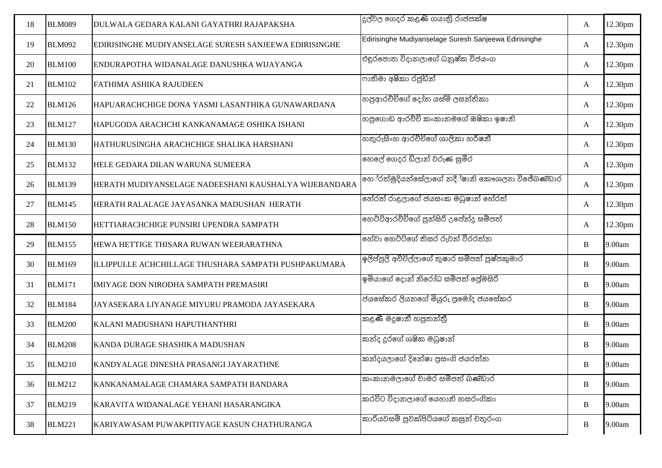| 18 | <b>BLM089</b> | DULWALA GEDARA KALANI GAYATHRI RAJAPAKSHA             | දුල්වල ගෙදර කළණි ගයාති රාජපක්ෂ                        | A | 12.30pm |
|----|---------------|-------------------------------------------------------|-------------------------------------------------------|---|---------|
| 19 | <b>BLM092</b> | EDIRISINGHE MUDIYANSELAGE SURESH SANJEEWA EDIRISINGHE | Edirisinghe Mudiyanselage Suresh Sanjeewa Edirisinghe | A | 12.30pm |
| 20 | <b>BLM100</b> | ENDURAPOTHA WIDANALAGE DANUSHKA WIJAYANGA             | එදුරපොත විදානලාගේ ධනුෂ්ක විජයංග                       | A | 12.30pm |
| 21 | <b>BLM102</b> | FATHIMA ASHIKA RAJUDEEN                               | ෆාතිමා අෂිකා රජුඩින්                                  | A | 12.30pm |
| 22 | <b>BLM126</b> | HAPUARACHCHIGE DONA YASMI LASANTHIKA GUNAWARDANA      | හපූආරච්චිගේ දෝන යස්මි ලසන්තිකා                        | A | 12.30pm |
| 23 | <b>BLM127</b> | HAPUGODA ARACHCHI KANKANAMAGE OSHIKA ISHANI           | හපුගොඩ ආරච්චි කංකානමගේ ඔෂිකා ඉෂානි                    | A | 12.30pm |
| 24 | <b>BLM130</b> | HATHURUSINGHA ARACHCHIGE SHALIKA HARSHANI             | හතුරුසිංහ ආරච්චිගේ ශාලිකා හර්ෂනී                      | A | 12.30pm |
| 25 | <b>BLM132</b> | HELE GEDARA DILAN WARUNA SUMEERA                      | හෙලේ ගෙදර ඩිලාන් වරුණ සුමීර                           | A | 12.30pm |
| 26 | <b>BLM139</b> | HERATH MUDIYANSELAGE NADEESHANI KAUSHALYA WIJEBANDARA | හේරත්මුදියන්සේලාගේ නදී්ෂානි කෞශලාා විජේඛණිඩාර         | A | 12.30pm |
| 27 | <b>BLM145</b> | HERATH RALALAGE JAYASANKA MADUSHAN HERATH             | හේරත් රාළලාගේ ජයසංක මධුෂාන් හේරත්                     | A | 12.30pm |
| 28 | <b>BLM150</b> | HETTIARACHCHIGE PUNSIRI UPENDRA SAMPATH               | හෙට්ටිආරච්චිගේ පුන්සිරි උපේන්දු සම්පත්                | A | 12.30pm |
| 29 | <b>BLM155</b> | HEWA HETTIGE THISARA RUWAN WEERARATHNA                | හේවා හෙට්ටිගේ තිසර රුවන් වීරරත්න                      | B | 9.00am  |
| 30 | <b>BLM169</b> | ILLIPPULLE ACHCHILLAGE THUSHARA SAMPATH PUSHPAKUMARA  | ඉලිප්පුලි අච්චිල්ලාගේ තුෂාර සම්පත් පුෂ්පකුමාර         | B | 9.00am  |
| 31 | <b>BLM171</b> | IMIYAGE DON NIRODHA SAMPATH PREMASIRI                 | ඉමියාගේ දොන් නිරෝධ සම්පත් පේුමසිරි                    | B | 9.00am  |
| 32 | <b>BLM184</b> | JAYASEKARA LIYANAGE MIYURU PRAMODA JAYASEKARA         | ජයසේකර ලියනගේ මියුරු පුමෝද ජයසේකර                     | B | 9.00am  |
| 33 | <b>BLM200</b> | KALANI MADUSHANI HAPUTHANTHRI                         | කළණී මදූෂානී හපුතන්තී                                 | B | 9.00am  |
| 34 | <b>BLM208</b> | KANDA DURAGE SHASHIKA MADUSHAN                        | කන්ද දුරගේ ශෂික මධුෂාන්                               | B | 9.00am  |
| 35 | <b>BLM210</b> | KANDYALAGE DINESHA PRASANGI JAYARATHNE                | කන්දයලාගේ දිනේෂා පුසංගි ජයරත්න                        | B | 9.00am  |
| 36 | <b>BLM212</b> | KANKANAMALAGE CHAMARA SAMPATH BANDARA                 | කංකානමලාගේ චාමර සම්පත් ඛණ්ඩාර                         | B | 9.00am  |
| 37 | <b>BLM219</b> | KARAVITA WIDANALAGE YEHANI HASARANGIKA                | කරවිට විදානලාගේ යෙහානි හසරංගිකා                       | B | 9.00am  |
| 38 | <b>BLM221</b> | KARIYAWASAM PUWAKPITIYAGE KASUN CHATHURANGA           | කාරියවසම් පුවක්පිටියගේ කසුන් චතුරංග                   | B | 9.00am  |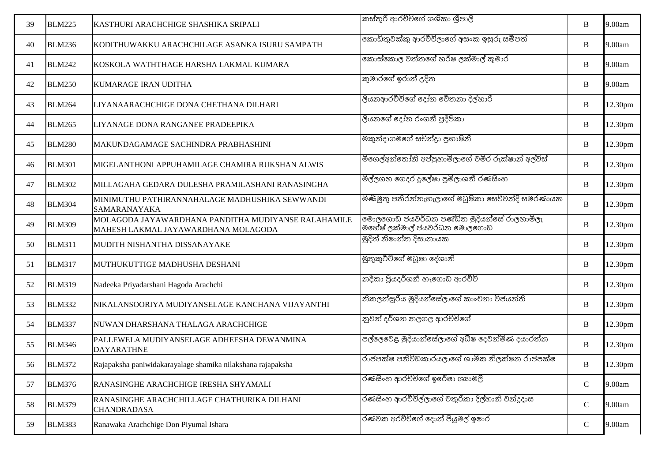| 39 | <b>BLM225</b> | KASTHURI ARACHCHIGE SHASHIKA SRIPALI                                                       | කස්තුරි ආරච්චිගේ ශශිකා ශීපාලි                                             | B           | 9.00am  |
|----|---------------|--------------------------------------------------------------------------------------------|---------------------------------------------------------------------------|-------------|---------|
| 40 | <b>BLM236</b> | KODITHUWAKKU ARACHCHILAGE ASANKA ISURU SAMPATH                                             | කොඩිතුවක්කු ආරච්චිලාගේ අසංක ඉසුරු සම්පත්                                  | B           | 9.00am  |
| 41 | <b>BLM242</b> | KOSKOLA WATHTHAGE HARSHA LAKMAL KUMARA                                                     | කොස්කොල වත්තගේ හර්ෂ ලක්මාල් කුමාර                                         | $\bf{B}$    | 9.00am  |
| 42 | <b>BLM250</b> | <b>KUMARAGE IRAN UDITHA</b>                                                                | කුමාරගේ ඉරාන් උදිත                                                        | $\bf{B}$    | 9.00am  |
| 43 | <b>BLM264</b> | LIYANAARACHCHIGE DONA CHETHANA DILHARI                                                     | ලියනආරච්චිගේ දෝන චේතනා දිල්හාරි                                           | $\bf{B}$    | 12.30pm |
| 44 | <b>BLM265</b> | LIYANAGE DONA RANGANEE PRADEEPIKA                                                          | ලියනගේ දෝන රංගනී පුදීපිකා                                                 | $\bf{B}$    | 12.30pm |
| 45 | <b>BLM280</b> | MAKUNDAGAMAGE SACHINDRA PRABHASHINI                                                        | මකුත්දාගමගේ සචිත්දුා පුභාෂිතී                                             | $\bf{B}$    | 12.30pm |
| 46 | <b>BLM301</b> | MIGELANTHONI APPUHAMILAGE CHAMIRA RUKSHAN ALWIS                                            | මිගෙල්අන්තෝනි අප්පුහාමිලාගේ චමිර රුක්ෂාන් අල්විස්                         | $\bf{B}$    | 12.30pm |
| 47 | <b>BLM302</b> | MILLAGAHA GEDARA DULESHA PRAMILASHANI RANASINGHA                                           | මිල්ලගහ ගෙදර දුලේෂා පුමිලාශනී රණසිංහ                                      | $\bf{B}$    | 12.30pm |
| 48 | <b>BLM304</b> | MINIMUTHU PATHIRANNAHALAGE MADHUSHIKA SEWWANDI<br>SAMARANAYAKA                             | මිණිමුතු පතිරන්නැහැලාගේ මධුෂිකා සෙව්වන්දි සමරණායක                         | $\bf{B}$    | 12.30pm |
| 49 | <b>BLM309</b> | MOLAGODA JAYAWARDHANA PANDITHA MUDIYANSE RALAHAMILE<br>MAHESH LAKMAL JAYAWARDHANA MOLAGODA | මොලගොඩ ජයවර්ධන පණ්ඩිත මුදියන්සේ රාලහාමිලැ<br>මහේෂ් ලක්මාල් ජයවර්ධන මොලගොඩ | $\bf{B}$    | 12.30pm |
| 50 | <b>BLM311</b> | MUDITH NISHANTHA DISSANAYAKE                                                               | මුදිත් නිෂාන්ත දිසානායක                                                   | $\bf{B}$    | 12.30pm |
| 51 | <b>BLM317</b> | MUTHUKUTTIGE MADHUSHA DESHANI                                                              | මුතුකුට්ටිගේ මධූෂා දේශානි                                                 | $\bf{B}$    | 12.30pm |
| 52 | <b>BLM319</b> | Nadeeka Priyadarshani Hagoda Arachchi                                                      | නදීකා පියදර්ශනී හෑගොඩ ආරච්චි                                              | $\bf{B}$    | 12.30pm |
| 53 | <b>BLM332</b> | NIKALANSOORIYA MUDIYANSELAGE KANCHANA VIJAYANTHI                                           | නිකලන්සූරිය මුදියන්සේලාගේ කාංචනා විජයන්ති                                 | $\bf{B}$    | 12.30pm |
| 54 | <b>BLM337</b> | NUWAN DHARSHANA THALAGA ARACHCHIGE                                                         | නුවන් දර්ශන තලගල ආරච්චිගේ                                                 | $\bf{B}$    | 12.30pm |
| 55 | <b>BLM346</b> | PALLEWELA MUDIYANSELAGE ADHEESHA DEWANMINA<br><b>DAYARATHNE</b>                            | පල්ලෙවෙළ මුදියාන්සේලාගේ අධීෂ දෙවන්මිණ දයාරත්න                             | $\bf{B}$    | 12.30pm |
| 56 | <b>BLM372</b> | Rajapaksha paniwidakarayalage shamika nilakshana rajapaksha                                | රාජපක්ෂ පනිවිඩකාරයලාගේ ශාමික නිලක්ෂන රාජපක්ෂ                              | B           | 12.30pm |
| 57 | <b>BLM376</b> | RANASINGHE ARACHCHIGE IRESHA SHYAMALI                                                      | රණසිංහ ආරච්චිගේ ඉරේෂා ශාාමලී                                              | ${\bf C}$   | 9.00am  |
| 58 | <b>BLM379</b> | RANASINGHE ARACHCHILLAGE CHATHURIKA DILHANI<br><b>CHANDRADASA</b>                          | රණසිංහ ආරච්චිල්ලාගේ චතුරිකා දිල්හානි චන්දුදාස                             | $\mathbf C$ | 9.00am  |
| 59 | <b>BLM383</b> | Ranawaka Arachchige Don Piyumal Ishara                                                     | රණවක අරච්චිගේ දොන් පියුමල් ඉෂාර                                           | $\mathbf C$ | 9.00am  |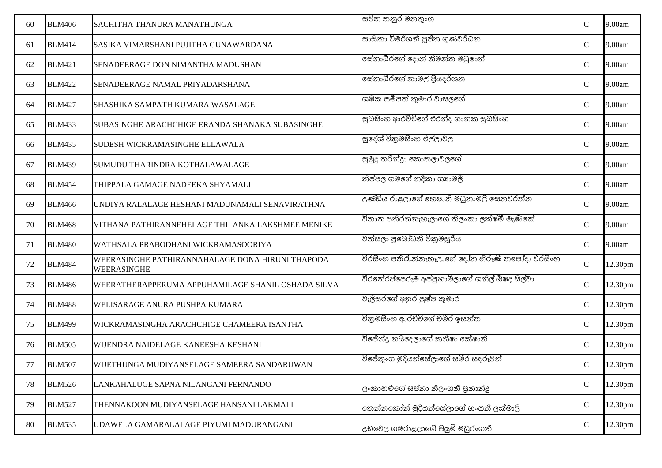| 60 | <b>BLM406</b> | <b>SACHITHA THANURA MANATHUNGA</b>                              | සචිත තනුර මනතුංග                                 | $\mathbf C$ | 9.00am  |
|----|---------------|-----------------------------------------------------------------|--------------------------------------------------|-------------|---------|
| 61 | <b>BLM414</b> | SASIKA VIMARSHANI PUJITHA GUNAWARDANA                           | සාසිකා විමර්ශනී පූජිත ගුණවර්ධන                   | $\mathbf C$ | 9.00am  |
| 62 | <b>BLM421</b> | SENADEERAGE DON NIMANTHA MADUSHAN                               | සේනාධීරගේ දොන් නිමන්ත මඛුෂාන්                    | $\mathbf C$ | 9.00am  |
| 63 | <b>BLM422</b> | SENADEERAGE NAMAL PRIYADARSHANA                                 | සේනාධීරගේ නාමල් පිුයදර්ශන                        | $\mathbf C$ | 9.00am  |
| 64 | <b>BLM427</b> | SHASHIKA SAMPATH KUMARA WASALAGE                                | ශෂික සම්පත් කුමාර වාසලගේ                         | $\mathbf C$ | 9.00am  |
| 65 | <b>BLM433</b> | SUBASINGHE ARACHCHIGE ERANDA SHANAKA SUBASINGHE                 | සුඛසිංහ ආරච්චිගේ එරන්ද ශානක සුඛසිංහ              | $\mathbf C$ | 9.00am  |
| 66 | <b>BLM435</b> | SUDESH WICKRAMASINGHE ELLAWALA                                  | සුදේශ් විකුමසිංහ එල්ලාවල                         | $\mathbf C$ | 9.00am  |
| 67 | <b>BLM439</b> | SUMUDU THARINDRA KOTHALAWALAGE                                  | සුමුදු තරින්දුා කොතලාවලගේ                        | $\mathbf C$ | 9.00am  |
| 68 | <b>BLM454</b> | THIPPALA GAMAGE NADEEKA SHYAMALI                                | තිප්පල ගමගේ නදීකා ශාාමලී                         | $\mathbf C$ | 9.00am  |
| 69 | <b>BLM466</b> | UNDIYA RALALAGE HESHANI MADUNAMALI SENAVIRATHNA                 | උණ්ඩිය රාළලාගේ හෙෂානි මධුනාමලී සෙනවිරත්න         | $\mathbf C$ | 9.00am  |
| 70 | <b>BLM468</b> | VITHANA PATHIRANNEHELAGE THILANKA LAKSHMEE MENIKE               | විතාත පතිරන්නැහැලාගේ තිලංකා ලක්ෂ්මී මැණිකේ       | $\mathbf C$ | 9.00am  |
| 71 | <b>BLM480</b> | WATHSALA PRABODHANI WICKRAMASOORIYA                             | වත්සලා පුබෝධනී විකුමසූරිය                        | $\mathbf C$ | 9.00am  |
| 72 | <b>BLM484</b> | WEERASINGHE PATHIRANNAHALAGE DONA HIRUNI THAPODA<br>WEERASINGHE | වීරසිංහ පතිරැන්නැහැලාගේ දෝන හිරුණි තපෝදා වීරසිංහ | $\mathbf C$ | 12.30pm |
| 73 | <b>BLM486</b> | WEERATHERAPPERUMA APPUHAMILAGE SHANIL OSHADA SILVA              | වීරතේරප්පෙරුම අප්පුහාමිලාගේ ශනිල් ඕෂද සිල්වා     | $\mathbf C$ | 12.30pm |
| 74 | <b>BLM488</b> | WELISARAGE ANURA PUSHPA KUMARA                                  | වැලිසරගේ අනුර පුෂ්ප කුමාර                        | $\mathbf C$ | 12.30pm |
| 75 | <b>BLM499</b> | WICKRAMASINGHA ARACHCHIGE CHAMEERA ISANTHA                      | විකුමසිංහ ආරච්චිගේ චමීර ඉසන්ත                    | $\mathbf C$ | 12.30pm |
| 76 | <b>BLM505</b> | WIJENDRA NAIDELAGE KANEESHA KESHANI                             | විජේන්දු නයිදෙලාගේ කනීෂා කේෂානි                  | $\mathbf C$ | 12.30pm |
| 77 | <b>BLM507</b> | WIJETHUNGA MUDIYANSELAGE SAMEERA SANDARUWAN                     | විජේතුංග මුදියන්සේලාගේ සමීර සඳරුවන්              | $\mathbf C$ | 12.30pm |
| 78 | <b>BLM526</b> | LANKAHALUGE SAPNA NILANGANI FERNANDO                            | ලංකාහළුගේ සප්නා නිලංගනී පුනාන්දු                 | $\mathbf C$ | 12.30pm |
| 79 | <b>BLM527</b> | THENNAKOON MUDIYANSELAGE HANSANI LAKMALI                        | තෙන්නකෝන් මුදියන්සේලාගේ හංසනී ලක්මාලි            | ${\bf C}$   | 12.30pm |
| 80 | <b>BLM535</b> | UDAWELA GAMARALALAGE PIYUMI MADURANGANI                         | උඩවෙල ගමරාළලාගේ පියුමි මධුරංගනී                  | $\mathbf C$ | 12.30pm |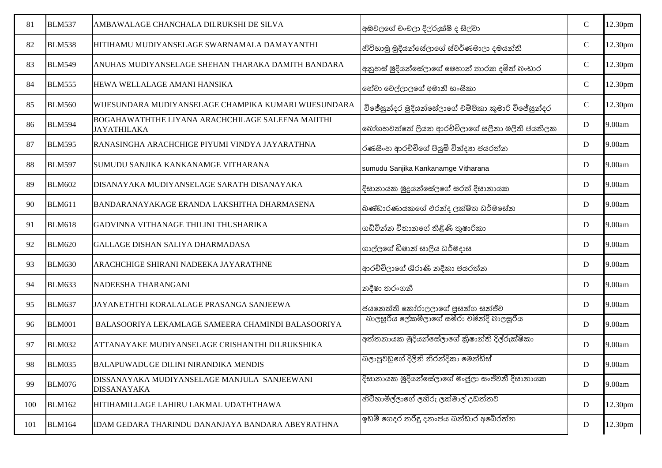| 81  | <b>BLM537</b> | AMBAWALAGE CHANCHALA DILRUKSHI DE SILVA                                 | අඹවලගේ චංචලා දිල්රුක්ෂි ද සිල්වා                   | $\mathbf C$ | 12.30pm |
|-----|---------------|-------------------------------------------------------------------------|----------------------------------------------------|-------------|---------|
| 82  | <b>BLM538</b> | HITIHAMU MUDIYANSELAGE SWARNAMALA DAMAYANTHI                            | හිටිහාමු මුදියන්සේලාගේ ස්වර්ණමාලා දමයන්ති          | $\mathbf C$ | 12.30pm |
| 83  | <b>BLM549</b> | ANUHAS MUDIYANSELAGE SHEHAN THARAKA DAMITH BANDARA                      | අනුහස් මුදියන්සේලාගේ ෂෙහාන් තාරක දමිත් බංඩාර       | $\mathbf C$ | 12.30pm |
| 84  | <b>BLM555</b> | HEWA WELLALAGE AMANI HANSIKA                                            | හේවා වෙල්ලාලගේ අමානි හංසිකා                        | $\mathbf C$ | 12.30pm |
| 85  | <b>BLM560</b> | WIJESUNDARA MUDIYANSELAGE CHAMPIKA KUMARI WIJESUNDARA                   | විජේසුන්දර මුදියන්සේලාගේ චම්පිකා කුමාරි විජේසුන්දර | ${\bf C}$   | 12.30pm |
| 86  | <b>BLM594</b> | BOGAHAWATHTHE LIYANA ARACHCHILAGE SALEENA MAIITHI<br><b>JAYATHILAKA</b> | බෝගහවත්තේ ලියන ආරච්චිලාගේ සලීනා මලිති ජයතිලක       | $\mathbf D$ | 9.00am  |
| 87  | <b>BLM595</b> | RANASINGHA ARACHCHIGE PIYUMI VINDYA JAYARATHNA                          | රණසිංහ ආරච්චිගේ පියුමි වින්දාා ජයරත්න              | D           | 9.00am  |
| 88  | <b>BLM597</b> | SUMUDU SANJIKA KANKANAMGE VITHARANA                                     | sumudu Sanjika Kankanamge Vitharana                | $\mathbf D$ | 9.00am  |
| 89  | <b>BLM602</b> | DISANAYAKA MUDIYANSELAGE SARATH DISANAYAKA                              | දිසානායක මුදුයන්සේලගේ සරත් දිසානායක                | $\mathbf D$ | 9.00am  |
| 90  | <b>BLM611</b> | BANDARANAYAKAGE ERANDA LAKSHITHA DHARMASENA                             | බණ්ඩාරණායකගේ එරන්ද ලක්ෂිත ධර්මසේන                  | D           | 9.00am  |
| 91  | <b>BLM618</b> | GADVINNA VITHANAGE THILINI THUSHARIKA                                   | ගඩ්වින්න විතානගේ තිළිණි තුෂාරිකා                   | $\mathbf D$ | 9.00am  |
| 92  | <b>BLM620</b> | GALLAGE DISHAN SALIYA DHARMADASA                                        | ගාල්ලගේ ඩිෂාන් සාලිය ධර්මදාස                       | $\mathbf D$ | 9.00am  |
| 93  | <b>BLM630</b> | ARACHCHIGE SHIRANI NADEEKA JAYARATHNE                                   | ආරච්චිලාගේ ශිරාණි නදීකා ජයරත්න                     | $\mathbf D$ | 9.00am  |
| 94  | <b>BLM633</b> | NADEESHA THARANGANI                                                     | නදීෂා තරංගනී                                       | D           | 9.00am  |
| 95  | <b>BLM637</b> | JAYANETHTHI KORALALAGE PRASANGA SANJEEWA                                | ජයනෙත්ති කෝරාලලාගේ පුසන්ග සන්ජීව                   | $\mathbf D$ | 9.00am  |
| 96  | <b>BLM001</b> | BALASOORIYA LEKAMLAGE SAMEERA CHAMINDI BALASOORIYA                      | බාලසූරිය ලේකම්ලාගේ සමීරා චමින්දි බාලසූරිය          | $\mathbf D$ | 9.00am  |
| 97  | <b>BLM032</b> | ATTANAYAKE MUDIYANSELAGE CRISHANTHI DILRUKSHIKA                         | අත්තනායක මුදියන්සේලාගේ කිුෂාන්ති දිල්රුක්ෂිකා      | $\mathbf D$ | 9.00am  |
| 98  | <b>BLM035</b> | BALAPUWADUGE DILINI NIRANDIKA MENDIS                                    | බලාපුවඩුගේ දිලිනි නිරන්දිකා මෙන්ඩිස්               | D           | 9.00am  |
| 99  | <b>BLM076</b> | DISSANAYAKA MUDIYANSELAGE MANJULA SANJEEWANI<br><b>DISSANAYAKA</b>      | දිසානායක මූදියන්සේලාගේ මංජුලා සංජීවනී දිසානායක     | $\mathbf D$ | 9.00am  |
| 100 | <b>BLM162</b> | HITIHAMILLAGE LAHIRU LAKMAL UDATHTHAWA                                  | හිටිහාමිල්ලාගේ ලහිරු ලක්මාල් උඩත්තව                | D           | 12.30pm |
| 101 | <b>BLM164</b> | IDAM GEDARA THARINDU DANANJAYA BANDARA ABEYRATHNA                       | ඉඩම් ගෙදර තරිදු දනංජය බන්ඩාර අබේරත්න               | D           | 12.30pm |